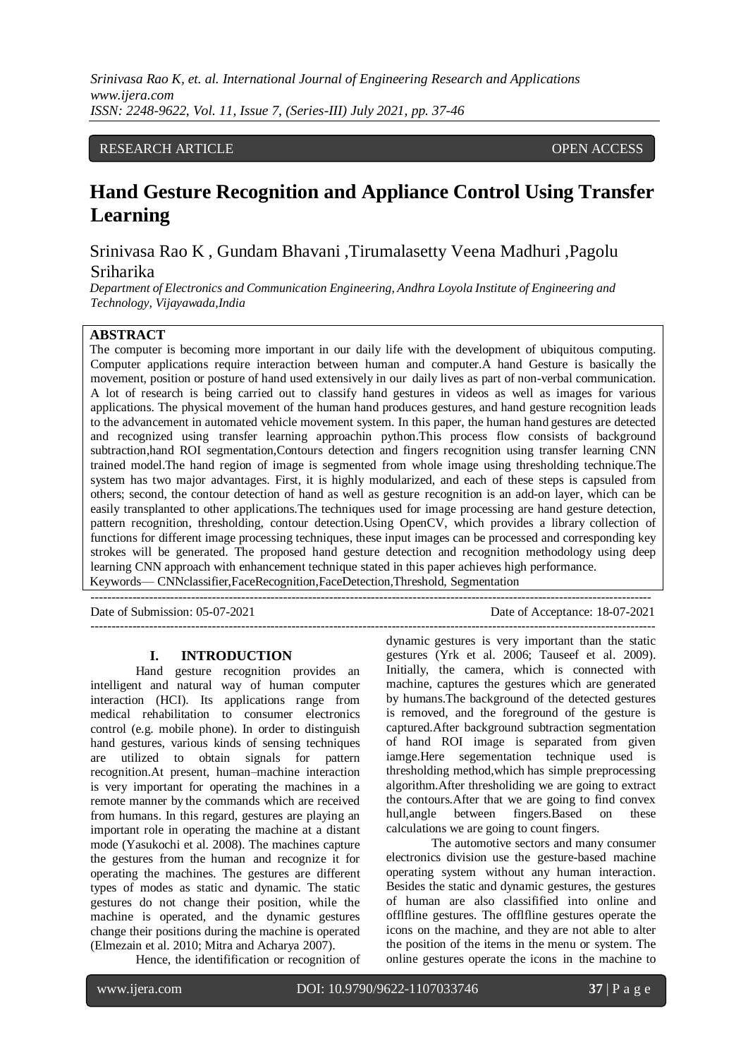## RESEARCH ARTICLE **CONSERVERS** OPEN ACCESS

# **Hand Gesture Recognition and Appliance Control Using Transfer Learning**

Srinivasa Rao K , Gundam Bhavani ,Tirumalasetty Veena Madhuri ,Pagolu Sriharika

*Department of Electronics and Communication Engineering, Andhra Loyola Institute of Engineering and Technology, Vijayawada,India*

# **ABSTRACT**

The computer is becoming more important in our daily life with the development of ubiquitous computing. Computer applications require interaction between human and computer.A hand Gesture is basically the movement, position or posture of hand used extensively in our daily lives as part of non-verbal communication. A lot of research is being carried out to classify hand gestures in videos as well as images for various applications. The physical movement of the human hand produces gestures, and hand gesture recognition leads to the advancement in automated vehicle movement system. In this paper, the human hand gestures are detected and recognized using transfer learning approachin python.This process flow consists of background subtraction,hand ROI segmentation,Contours detection and fingers recognition using transfer learning CNN trained model.The hand region of image is segmented from whole image using thresholding technique.The system has two major advantages. First, it is highly modularized, and each of these steps is capsuled from others; second, the contour detection of hand as well as gesture recognition is an add-on layer, which can be easily transplanted to other applications.The techniques used for image processing are hand gesture detection, pattern recognition, thresholding, contour detection.Using OpenCV, which provides a library collection of functions for different image processing techniques, these input images can be processed and corresponding key strokes will be generated. The proposed hand gesture detection and recognition methodology using deep learning CNN approach with enhancement technique stated in this paper achieves high performance. Keywords— CNNclassifier,FaceRecognition,FaceDetection,Threshold, Segmentation

--------------------------------------------------------------------------------------------------------------------------------------

Date of Submission: 05-07-2021 Date of Acceptance: 18-07-2021

---------------------------------------------------------------------------------------------------------------------------------------

#### **I. INTRODUCTION**

Hand gesture recognition provides an intelligent and natural way of human computer interaction (HCI). Its applications range from medical rehabilitation to consumer electronics control (e.g. mobile phone). In order to distinguish hand gestures, various kinds of sensing techniques are utilized to obtain signals for pattern recognition.At present, human–machine interaction is very important for operating the machines in a remote manner by the commands which are received from humans. In this regard, gestures are playing an important role in operating the machine at a distant mode (Yasukochi et al. 2008). The machines capture the gestures from the human and recognize it for operating the machines. The gestures are different types of modes as static and dynamic. The static gestures do not change their position, while the machine is operated, and the dynamic gestures change their positions during the machine is operated (Elmezain et al. 2010; Mitra and Acharya 2007).

Hence, the identifification or recognition of

dynamic gestures is very important than the static gestures (Yrk et al. 2006; Tauseef et al. 2009). Initially, the camera, which is connected with machine, captures the gestures which are generated by humans.The background of the detected gestures is removed, and the foreground of the gesture is captured.After background subtraction segmentation of hand ROI image is separated from given iamge.Here segementation technique used is thresholding method,which has simple preprocessing algorithm.After thresholiding we are going to extract the contours.After that we are going to find convex hull,angle between fingers.Based on these calculations we are going to count fingers.

The automotive sectors and many consumer electronics division use the gesture-based machine operating system without any human interaction. Besides the static and dynamic gestures, the gestures of human are also classifified into online and offlfline gestures. The offlfline gestures operate the icons on the machine, and they are not able to alter the position of the items in the menu or system. The online gestures operate the icons in the machine to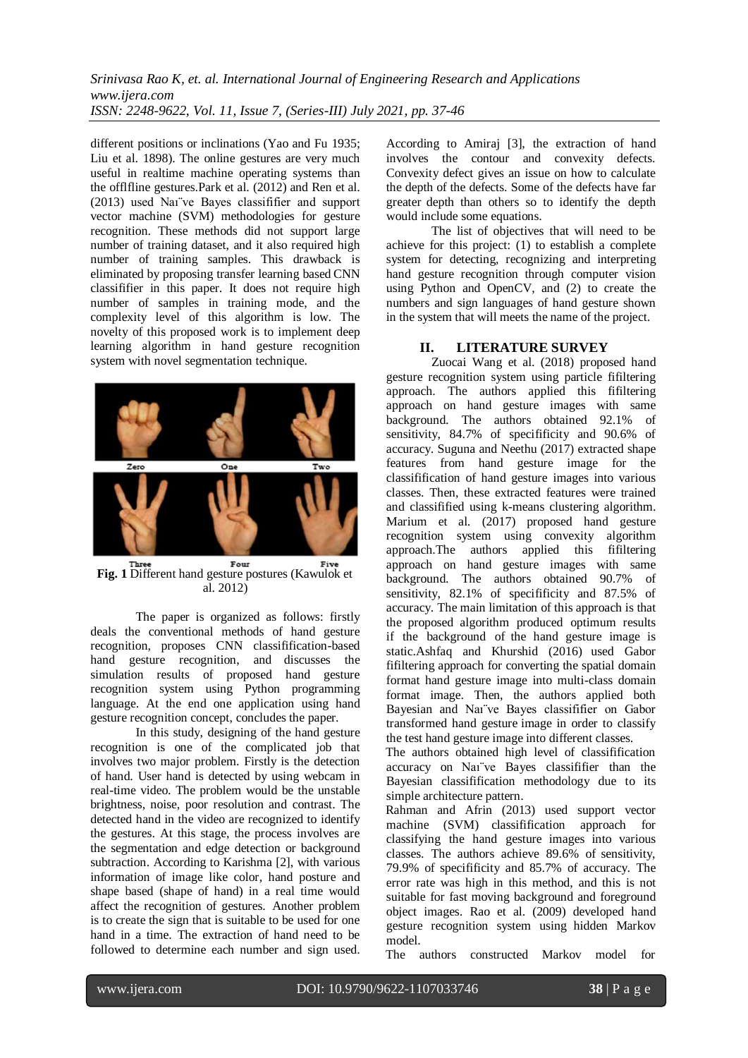different positions or inclinations (Yao and Fu 1935; Liu et al. 1898). The online gestures are very much useful in realtime machine operating systems than the offlfline gestures.Park et al. (2012) and Ren et al. (2013) used Naı¨ve Bayes classififier and support vector machine (SVM) methodologies for gesture recognition. These methods did not support large number of training dataset, and it also required high number of training samples. This drawback is eliminated by proposing transfer learning based CNN classififier in this paper. It does not require high number of samples in training mode, and the complexity level of this algorithm is low. The novelty of this proposed work is to implement deep learning algorithm in hand gesture recognition system with novel segmentation technique.



**Fig. 1** Different hand gesture postures (Kawulok et al. 2012)

The paper is organized as follows: firstly deals the conventional methods of hand gesture recognition, proposes CNN classifification-based hand gesture recognition, and discusses the simulation results of proposed hand gesture recognition system using Python programming language. At the end one application using hand gesture recognition concept, concludes the paper.

In this study, designing of the hand gesture recognition is one of the complicated job that involves two major problem. Firstly is the detection of hand. User hand is detected by using webcam in real-time video. The problem would be the unstable brightness, noise, poor resolution and contrast. The detected hand in the video are recognized to identify the gestures. At this stage, the process involves are the segmentation and edge detection or background subtraction. According to Karishma [2], with various information of image like color, hand posture and shape based (shape of hand) in a real time would affect the recognition of gestures. Another problem is to create the sign that is suitable to be used for one hand in a time. The extraction of hand need to be followed to determine each number and sign used.

According to Amiraj [3], the extraction of hand involves the contour and convexity defects. Convexity defect gives an issue on how to calculate the depth of the defects. Some of the defects have far greater depth than others so to identify the depth would include some equations.

The list of objectives that will need to be achieve for this project: (1) to establish a complete system for detecting, recognizing and interpreting hand gesture recognition through computer vision using Python and OpenCV, and (2) to create the numbers and sign languages of hand gesture shown in the system that will meets the name of the project.

## **II. LITERATURE SURVEY**

Zuocai Wang et al. (2018) proposed hand gesture recognition system using particle fifiltering approach. The authors applied this fifiltering approach on hand gesture images with same background. The authors obtained 92.1% of sensitivity, 84.7% of specifificity and 90.6% of accuracy. Suguna and Neethu (2017) extracted shape features from hand gesture image for the classifification of hand gesture images into various classes. Then, these extracted features were trained and classifified using k-means clustering algorithm. Marium et al. (2017) proposed hand gesture recognition system using convexity algorithm approach.The authors applied this fifiltering approach on hand gesture images with same background. The authors obtained 90.7% of sensitivity, 82.1% of specifificity and 87.5% of accuracy. The main limitation of this approach is that the proposed algorithm produced optimum results if the background of the hand gesture image is static.Ashfaq and Khurshid (2016) used Gabor fifiltering approach for converting the spatial domain format hand gesture image into multi-class domain format image. Then, the authors applied both Bayesian and Naı¨ve Bayes classififier on Gabor transformed hand gesture image in order to classify the test hand gesture image into different classes.

The authors obtained high level of classifification accuracy on Naı¨ve Bayes classififier than the Bayesian classifification methodology due to its simple architecture pattern.

Rahman and Afrin (2013) used support vector machine (SVM) classifification approach for classifying the hand gesture images into various classes. The authors achieve 89.6% of sensitivity, 79.9% of specifificity and 85.7% of accuracy. The error rate was high in this method, and this is not suitable for fast moving background and foreground object images. Rao et al. (2009) developed hand gesture recognition system using hidden Markov model.

The authors constructed Markov model for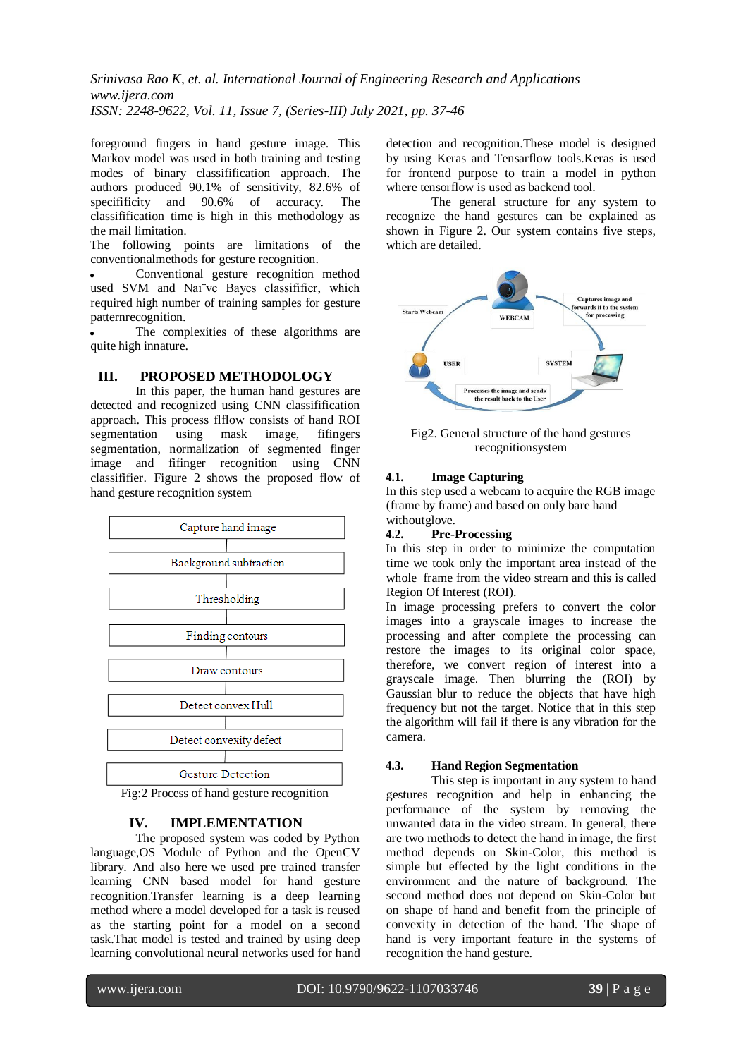foreground fingers in hand gesture image. This Markov model was used in both training and testing modes of binary classifification approach. The authors produced 90.1% of sensitivity, 82.6% of specifificity and 90.6% of accuracy. The classifification time is high in this methodology as the mail limitation.

The following points are limitations of the conventionalmethods for gesture recognition.

 Conventional gesture recognition method used SVM and Naı¨ve Bayes classififier, which required high number of training samples for gesture patternrecognition.

 The complexities of these algorithms are quite high innature.

#### **III. PROPOSED METHODOLOGY**

In this paper, the human hand gestures are detected and recognized using CNN classifification approach. This process flflow consists of hand ROI segmentation using mask image, fifingers segmentation, normalization of segmented finger image and fifinger recognition using CNN classififier. Figure 2 shows the proposed flow of hand gesture recognition system



Fig:2 Process of hand gesture recognition

## **IV. IMPLEMENTATION**

The proposed system was coded by Python language,OS Module of Python and the OpenCV library. And also here we used pre trained transfer learning CNN based model for hand gesture recognition.Transfer learning is a deep learning method where a model developed for a task is reused as the starting point for a model on a second task.That model is tested and trained by using deep learning convolutional neural networks used for hand

detection and recognition.These model is designed by using Keras and Tensarflow tools.Keras is used for frontend purpose to train a model in python where tensorflow is used as backend tool.

The general structure for any system to recognize the hand gestures can be explained as shown in Figure 2. Our system contains five steps, which are detailed.



Fig2. General structure of the hand gestures recognitionsystem

#### **4.1. Image Capturing**

In this step used a webcam to acquire the RGB image (frame by frame) and based on only bare hand withoutglove.

#### **4.2. Pre-Processing**

In this step in order to minimize the computation time we took only the important area instead of the whole frame from the video stream and this is called Region Of Interest (ROI).

In image processing prefers to convert the color images into a grayscale images to increase the processing and after complete the processing can restore the images to its original color space, therefore, we convert region of interest into a grayscale image. Then blurring the (ROI) by Gaussian blur to reduce the objects that have high frequency but not the target. Notice that in this step the algorithm will fail if there is any vibration for the camera.

#### **4.3. Hand Region Segmentation**

This step is important in any system to hand gestures recognition and help in enhancing the performance of the system by removing the unwanted data in the video stream. In general, there are two methods to detect the hand in image, the first method depends on Skin-Color, this method is simple but effected by the light conditions in the environment and the nature of background. The second method does not depend on Skin-Color but on shape of hand and benefit from the principle of convexity in detection of the hand. The shape of hand is very important feature in the systems of recognition the hand gesture.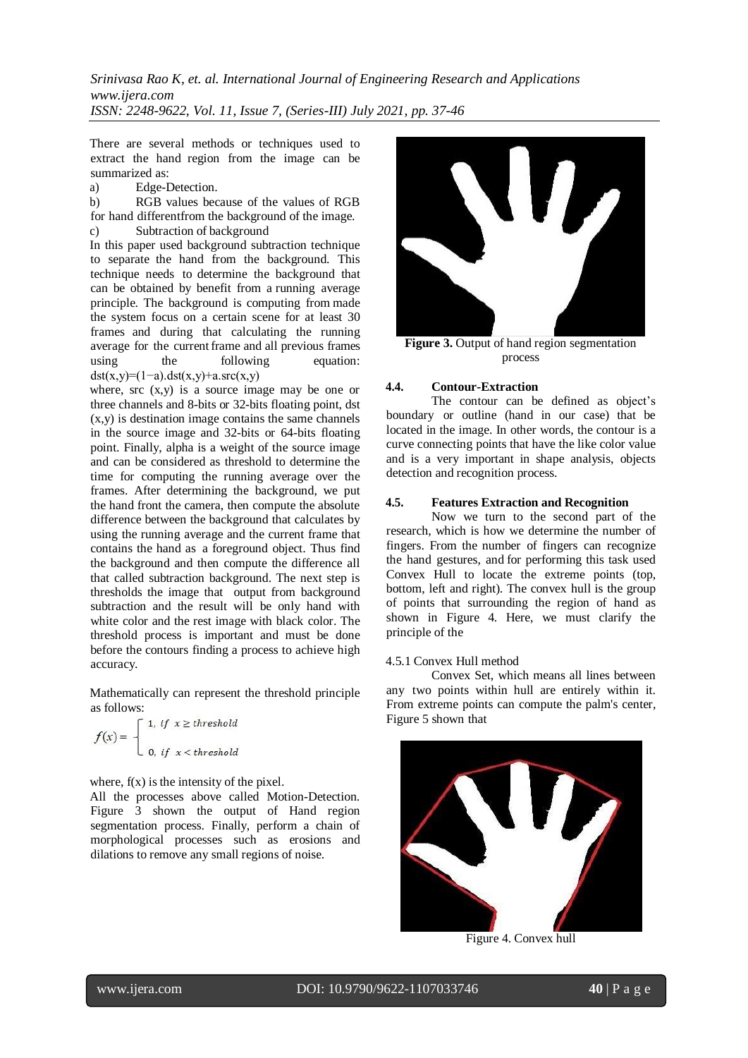There are several methods or techniques used to extract the hand region from the image can be summarized as:

a) Edge-Detection.

b) RGB values because of the values of RGB for hand differentfrom the background of the image. c) Subtraction of background

In this paper used background subtraction technique to separate the hand from the background. This technique needs to determine the background that can be obtained by benefit from a running average principle. The background is computing from made the system focus on a certain scene for at least 30 frames and during that calculating the running average for the currentframe and all previous frames using the following equation:  $dst(x,y)=(1-a).dst(x,y)+a.src(x,y)$ 

where,  $src(x,y)$  is a source image may be one or three channels and 8-bits or 32-bits floating point, dst (x,y) is destination image contains the same channels in the source image and 32-bits or 64-bits floating point. Finally, alpha is a weight of the source image and can be considered as threshold to determine the time for computing the running average over the frames. After determining the background, we put the hand front the camera, then compute the absolute difference between the background that calculates by using the running average and the current frame that contains the hand as a foreground object. Thus find the background and then compute the difference all that called subtraction background. The next step is thresholds the image that output from background subtraction and the result will be only hand with white color and the rest image with black color. The threshold process is important and must be done before the contours finding a process to achieve high accuracy.

Mathematically can represent the threshold principle as follows:

$$
f(x) = \begin{cases} 1, & \text{if } x \ge \text{threshold} \\ 0, & \text{if } x < \text{threshold} \end{cases}
$$

where,  $f(x)$  is the intensity of the pixel.

All the processes above called Motion-Detection. Figure 3 shown the output of Hand region segmentation process. Finally, perform a chain of morphological processes such as erosions and dilations to remove any small regions of noise.



**Figure 3.** Output of hand region segmentation process

## **4.4. Contour-Extraction**

The contour can be defined as object's boundary or outline (hand in our case) that be located in the image. In other words, the contour is a curve connecting points that have the like color value and is a very important in shape analysis, objects detection and recognition process.

## **4.5. Features Extraction and Recognition**

Now we turn to the second part of the research, which is how we determine the number of fingers. From the number of fingers can recognize the hand gestures, and for performing this task used Convex Hull to locate the extreme points (top, bottom, left and right). The convex hull is the group of points that surrounding the region of hand as shown in Figure 4. Here, we must clarify the principle of the

#### 4.5.1 Convex Hull method

Convex Set, which means all lines between any two points within hull are entirely within it. From extreme points can compute the palm's center, Figure 5 shown that



Figure 4. Convex hull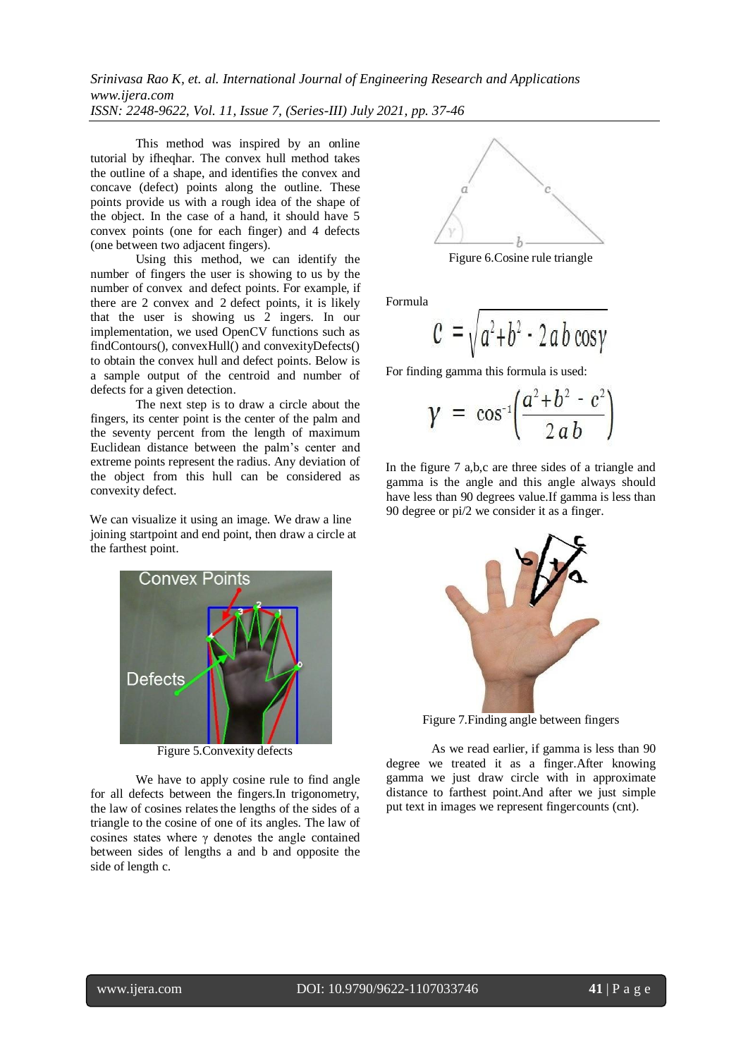This method was inspired by an online tutorial by ifheqhar. The convex hull method takes the outline of a shape, and identifies the convex and concave (defect) points along the outline. These points provide us with a rough idea of the shape of the object. In the case of a hand, it should have 5 convex points (one for each finger) and 4 defects (one between two adjacent fingers).

Using this method, we can identify the number of fingers the user is showing to us by the number of convex and defect points. For example, if there are 2 convex and 2 defect points, it is likely that the user is showing us 2 ingers. In our implementation, we used OpenCV functions such as findContours(), convexHull() and convexityDefects() to obtain the convex hull and defect points. Below is a sample output of the centroid and number of defects for a given detection.

The next step is to draw a circle about the fingers, its center point is the center of the palm and the seventy percent from the length of maximum Euclidean distance between the palm's center and extreme points represent the radius. Any deviation of the object from this hull can be considered as convexity defect.

We can visualize it using an image. We draw a line joining startpoint and end point, then draw a circle at the farthest point.



Figure 5.Convexity defects

We have to apply cosine rule to find angle for all defects between the fingers.In trigonometry, the law of cosines relates the lengths of the sides of a triangle to the cosine of one of its angles. The law of cosines states where  $\gamma$  denotes the angle contained between sides of lengths a and b and opposite the side of length c.



Figure 6.Cosine rule triangle

Formula

$$
c = \sqrt{a^2 + b^2 - 2 a b \cos \gamma}
$$

For finding gamma this formula is used:

$$
\gamma = \cos^{-1}\left(\frac{a^2 + b^2 - c^2}{2ab}\right)
$$

In the figure 7 a,b,c are three sides of a triangle and gamma is the angle and this angle always should have less than 90 degrees value.If gamma is less than 90 degree or pi/2 we consider it as a finger.



Figure 7.Finding angle between fingers

As we read earlier, if gamma is less than 90 degree we treated it as a finger.After knowing gamma we just draw circle with in approximate distance to farthest point.And after we just simple put text in images we represent fingercounts (cnt).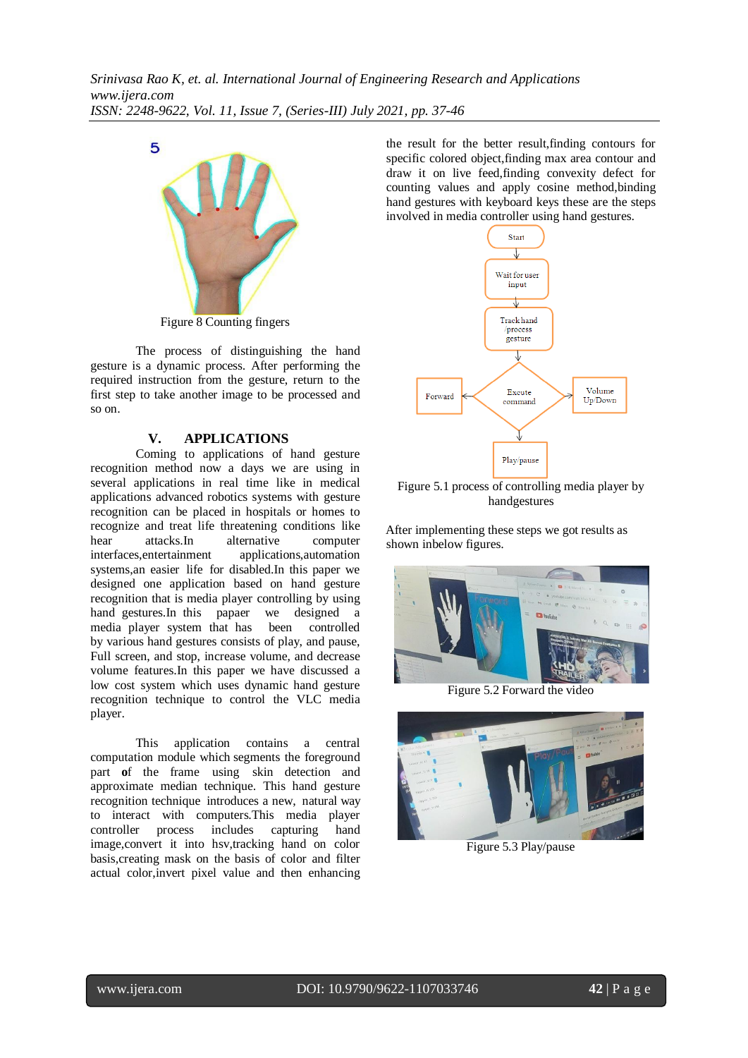

Figure 8 Counting fingers

The process of distinguishing the hand gesture is a dynamic process. After performing the required instruction from the gesture, return to the first step to take another image to be processed and so on.

## **V. APPLICATIONS**

Coming to applications of hand gesture recognition method now a days we are using in several applications in real time like in medical applications advanced robotics systems with gesture recognition can be placed in hospitals or homes to recognize and treat life threatening conditions like hear attacks.In alternative computer interfaces,entertainment applications,automation systems,an easier life for disabled.In this paper we designed one application based on hand gesture recognition that is media player controlling by using hand gestures.In this papaer we designed a media player system that has been controlled by various hand gestures consists of play, and pause, Full screen, and stop, increase volume, and decrease volume features.In this paper we have discussed a low cost system which uses dynamic hand gesture recognition technique to control the VLC media player.

This application contains a central computation module which segments the foreground part **o**f the frame using skin detection and approximate median technique. This hand gesture recognition technique introduces a new, natural way to interact with computers.This media player controller process includes capturing hand image,convert it into hsv,tracking hand on color basis,creating mask on the basis of color and filter actual color,invert pixel value and then enhancing

the result for the better result,finding contours for specific colored object,finding max area contour and draw it on live feed,finding convexity defect for counting values and apply cosine method,binding hand gestures with keyboard keys these are the steps involved in media controller using hand gestures.



Figure 5.1 process of controlling media player by handgestures

After implementing these steps we got results as shown inbelow figures.



Figure 5.2 Forward the video



Figure 5.3 Play/pause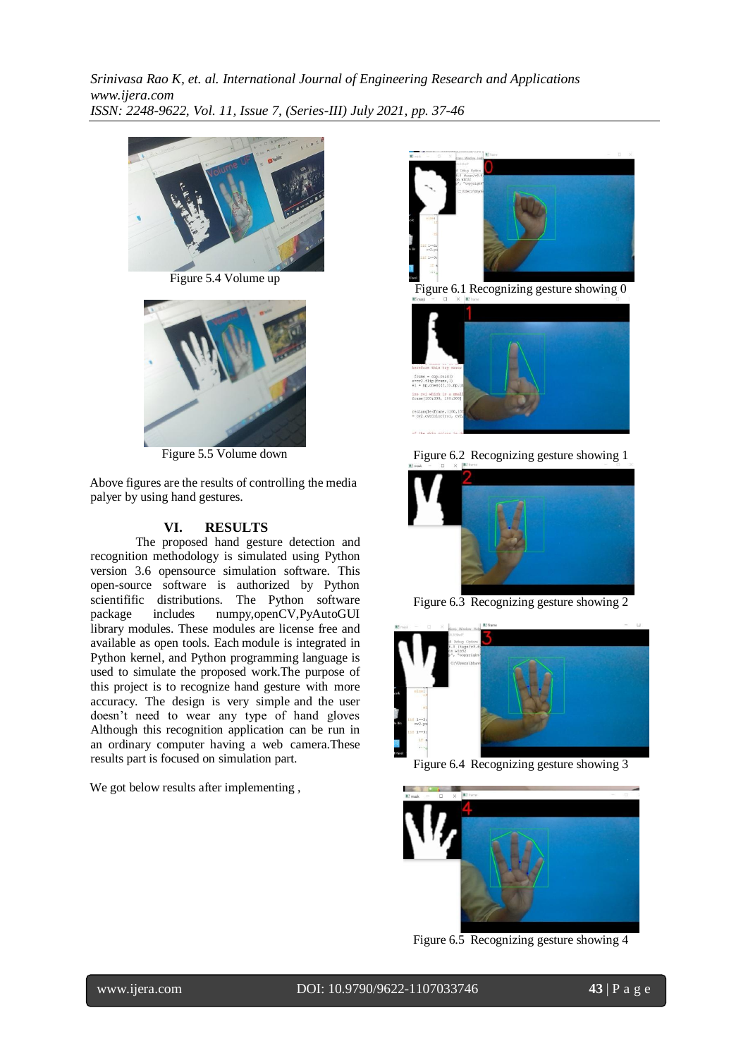

Figure 5.4 Volume up



Figure 5.5 Volume down

Above figures are the results of controlling the media palyer by using hand gestures.

#### **VI. RESULTS**

The proposed hand gesture detection and recognition methodology is simulated using Python version 3.6 opensource simulation software. This open-source software is authorized by Python scientifific distributions. The Python software package includes numpy,openCV,PyAutoGUI library modules. These modules are license free and available as open tools. Each module is integrated in Python kernel, and Python programming language is used to simulate the proposed work.The purpose of this project is to recognize hand gesture with more accuracy. The design is very simple and the user doesn't need to wear any type of hand gloves Although this recognition application can be run in an ordinary computer having a web camera.These results part is focused on simulation part.

We got below results after implementing ,



Figure 6.1 Recognizing gesture showing 0



Figure 6.2 Recognizing gesture showing 1



Figure 6.3 Recognizing gesture showing 2



Figure 6.4 Recognizing gesture showing 3



Figure 6.5 Recognizing gesture showing 4

l

www.ijera.com DOI: 10.9790/9622-1107033746 **43** | P a g e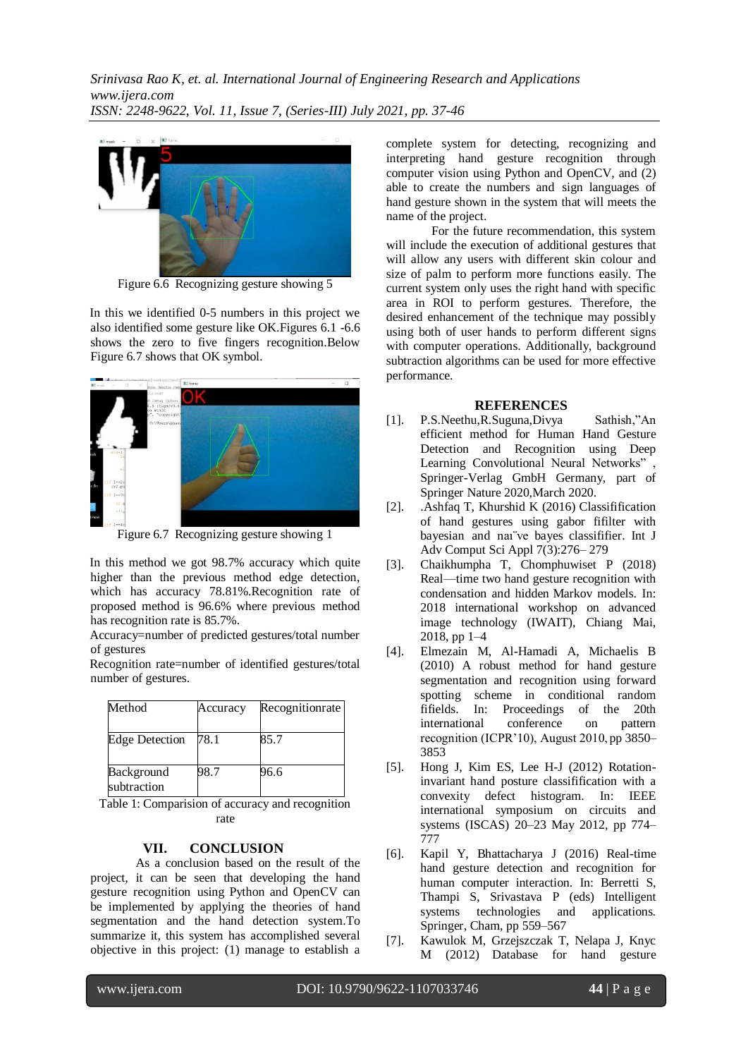

Figure 6.6 Recognizing gesture showing 5

In this we identified 0-5 numbers in this project we also identified some gesture like OK.Figures 6.1 -6.6 shows the zero to five fingers recognition.Below Figure 6.7 shows that OK symbol.



Figure 6.7 Recognizing gesture showing 1

In this method we got 98.7% accuracy which quite higher than the previous method edge detection, which has accuracy 78.81%.Recognition rate of proposed method is 96.6% where previous method has recognition rate is 85.7%.

Accuracy=number of predicted gestures/total number of gestures

Recognition rate=number of identified gestures/total number of gestures.

| Method                    | Accuracy | Recognitionrate |
|---------------------------|----------|-----------------|
| <b>Edge Detection</b>     | 78.1     | 85.7            |
| Background<br>subtraction | 98.7     | 96.6            |

Table 1: Comparision of accuracy and recognition rate

#### **VII. CONCLUSION**

As a conclusion based on the result of the project, it can be seen that developing the hand gesture recognition using Python and OpenCV can be implemented by applying the theories of hand segmentation and the hand detection system.To summarize it, this system has accomplished several objective in this project: (1) manage to establish a

complete system for detecting, recognizing and interpreting hand gesture recognition through computer vision using Python and OpenCV, and (2) able to create the numbers and sign languages of hand gesture shown in the system that will meets the name of the project.

For the future recommendation, this system will include the execution of additional gestures that will allow any users with different skin colour and size of palm to perform more functions easily. The current system only uses the right hand with specific area in ROI to perform gestures. Therefore, the desired enhancement of the technique may possibly using both of user hands to perform different signs with computer operations. Additionally, background subtraction algorithms can be used for more effective performance.

#### **REFERENCES**

- [1]. P.S.Neethu,R.Suguna,Divya Sathish,"An efficient method for Human Hand Gesture Detection and Recognition using Deep Learning Convolutional Neural Networks". Springer-Verlag GmbH Germany, part of Springer Nature 2020,March 2020.
- [2]. .Ashfaq T, Khurshid K (2016) Classifification of hand gestures using gabor fifilter with bayesian and naı¨ve bayes classififier. Int J Adv Comput Sci Appl 7(3):276– 279
- [3]. Chaikhumpha T, Chomphuwiset P (2018) Real—time two hand gesture recognition with condensation and hidden Markov models. In: 2018 international workshop on advanced image technology (IWAIT), Chiang Mai, 2018, pp 1–4
- [4]. Elmezain M, Al-Hamadi A, Michaelis B (2010) A robust method for hand gesture segmentation and recognition using forward spotting scheme in conditional random fifields. In: Proceedings of the 20th international conference on pattern recognition (ICPR'10), August 2010, pp 3850– 3853
- [5]. Hong J, Kim ES, Lee H-J (2012) Rotationinvariant hand posture classifification with a convexity defect histogram. In: IEEE international symposium on circuits and systems (ISCAS) 20–23 May 2012, pp 774– 777
- [6]. Kapil Y, Bhattacharya J (2016) Real-time hand gesture detection and recognition for human computer interaction. In: Berretti S, Thampi S, Srivastava P (eds) Intelligent systems technologies and applications. Springer, Cham, pp 559–567
- [7]. Kawulok M, Grzejszczak T, Nelapa J, Knyc M (2012) Database for hand gesture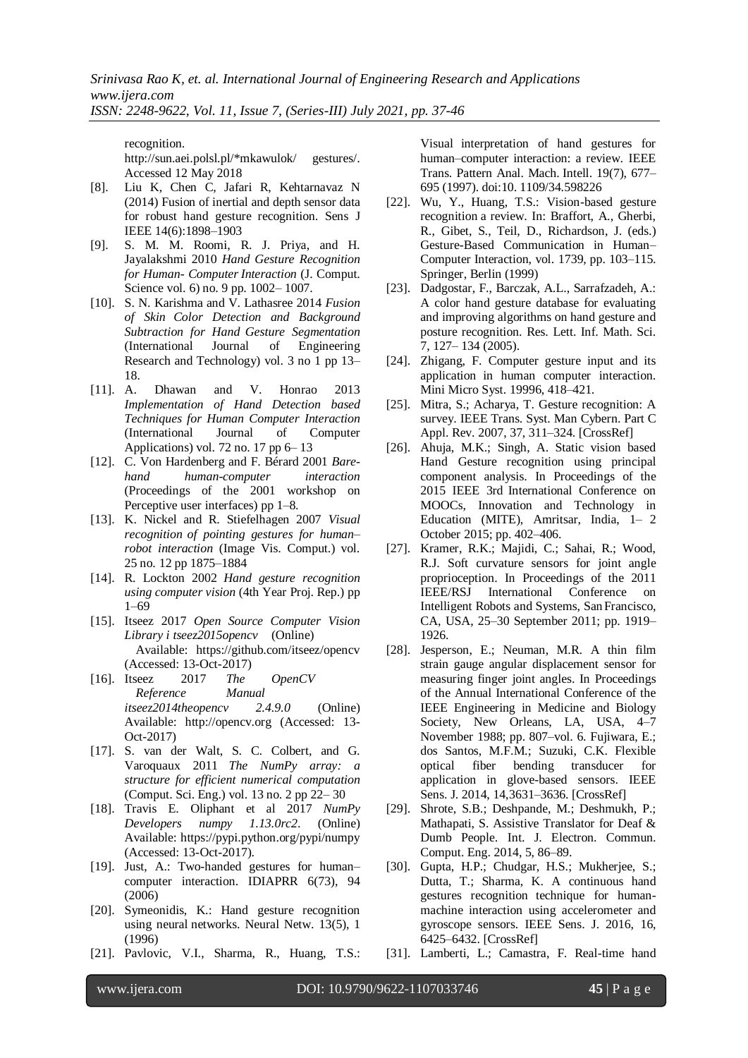recognition. [http://sun.aei.polsl.pl/\\*](http://sun.aei.polsl.pl/)mkawulok/ gestures/. Accessed 12 May 2018

- [8]. Liu K, Chen C, Jafari R, Kehtarnavaz N (2014) Fusion of inertial and depth sensor data for robust hand gesture recognition. Sens J IEEE 14(6):1898–1903
- [9]. S. M. M. Roomi, R. J. Priya, and H. Jayalakshmi 2010 *Hand Gesture Recognition for Human- ComputerInteraction* (J. Comput. Science vol. 6) no. 9 pp. 1002-1007.
- [10]. S. N. Karishma and V. Lathasree 2014 *Fusion of Skin Color Detection and Background Subtraction for Hand Gesture Segmentation* (International Journal of Engineering Research and Technology) vol. 3 no 1 pp 13– 18.
- [11]. A. Dhawan and V. Honrao 2013 *Implementation of Hand Detection based Techniques for Human Computer Interaction* (International Journal of Computer Applications) vol. 72 no. 17 pp  $6-13$
- [12]. C. Von Hardenberg and F. Bérard 2001 *Barehand human-computer interaction*  (Proceedings of the 2001 workshop on Perceptive user interfaces) pp 1–8.
- [13]. K. Nickel and R. Stiefelhagen 2007 *Visual recognition of pointing gestures for human– robot interaction* (Image Vis. Comput.) vol. 25 no. 12 pp 1875–1884
- [14]. R. Lockton 2002 *Hand gesture recognition using computer vision* (4th Year Proj. Rep.) pp 1–69
- [15]. Itseez 2017 *Open Source Computer Vision Library i tseez2015opencv* (Online) Available: https://github.com/itseez/opencv (Accessed: 13-Oct-2017)
- [16]. Itseez 2017 *The OpenCV Reference Manual itseez2014theopencv 2.4.9.0* (Online) Available: [http://opencv.org](http://opencv.org/) (Accessed: 13- Oct-2017)
- [17]. S. van der Walt, S. C. Colbert, and G. Varoquaux 2011 *The NumPy array: a structure for efficient numerical computation*  (Comput. Sci. Eng.) vol. 13 no. 2 pp 22– 30
- [18]. Travis E. Oliphant et al 2017 *NumPy Developers numpy 1.13.0rc2*. (Online) Available: https://pypi.python.org/pypi/numpy (Accessed: 13-Oct-2017).
- [19]. Just, A.: Two-handed gestures for human– computer interaction. IDIAPRR 6(73), 94 (2006)
- [20]. Symeonidis, K.: Hand gesture recognition using neural networks. Neural Netw. 13(5), 1 (1996)
- [21]. Pavlovic, V.I., Sharma, R., Huang, T.S.:

Visual interpretation of hand gestures for human–computer interaction: a review. IEEE Trans. Pattern Anal. Mach. Intell. 19(7), 677– 695 (1997). doi:10. 1109/34.598226

- [22]. Wu, Y., Huang, T.S.: Vision-based gesture recognition a review. In: Braffort, A., Gherbi, R., Gibet, S., Teil, D., Richardson, J. (eds.) Gesture-Based Communication in Human– Computer Interaction, vol. 1739, pp. 103–115. Springer, Berlin (1999)
- [23]. Dadgostar, F., Barczak, A.L., Sarrafzadeh, A.: A color hand gesture database for evaluating and improving algorithms on hand gesture and posture recognition. Res. Lett. Inf. Math. Sci. 7, 127– 134 (2005).
- [24]. Zhigang, F. Computer gesture input and its application in human computer interaction. Mini Micro Syst. 19996, 418–421.
- [25]. Mitra, S.; Acharya, T. Gesture recognition: A survey. IEEE Trans. Syst. Man Cybern. Part C Appl. Rev. 2007, 37, 311–324. [CrossRef]
- [26]. Ahuja, M.K.; Singh, A. Static vision based Hand Gesture recognition using principal component analysis. In Proceedings of the 2015 IEEE 3rd International Conference on MOOCs, Innovation and Technology in Education (MITE), Amritsar, India, 1– 2 October 2015; pp. 402–406.
- [27]. Kramer, R.K.; Majidi, C.; Sahai, R.; Wood, R.J. Soft curvature sensors for joint angle proprioception. In Proceedings of the 2011 IEEE/RSJ International Conference on Intelligent Robots and Systems, San Francisco, CA, USA, 25–30 September 2011; pp. 1919– 1926.
- [28]. Jesperson, E.; Neuman, M.R. A thin film strain gauge angular displacement sensor for measuring finger joint angles. In Proceedings of the Annual International Conference of the IEEE Engineering in Medicine and Biology Society, New Orleans, LA, USA, 4-7 November 1988; pp. 807–vol. 6. Fujiwara, E.; dos Santos, M.F.M.; Suzuki, C.K. Flexible optical fiber bending transducer for application in glove-based sensors. IEEE Sens. J. 2014, 14,3631–3636. [CrossRef]
- [29]. Shrote, S.B.; Deshpande, M.; Deshmukh, P.; Mathapati, S. Assistive Translator for Deaf & Dumb People. Int. J. Electron. Commun. Comput. Eng. 2014, 5, 86–89.
- [30]. Gupta, H.P.; Chudgar, H.S.; Mukherjee, S.; Dutta, T.; Sharma, K. A continuous hand gestures recognition technique for humanmachine interaction using accelerometer and gyroscope sensors. IEEE Sens. J. 2016, 16, 6425–6432. [CrossRef]
- [31]. Lamberti, L.; Camastra, F. Real-time hand